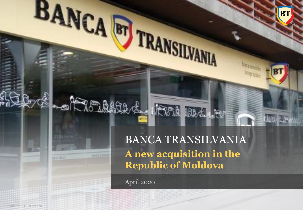### BANCA TRANSILVANIA **A new acquisition in the Republic of Moldova**

PER BALLIN

**B**1

April 2020

BANCA ET TRANSILVANIA

-A Monthesia

**TOOLETTE** 

**THEFT**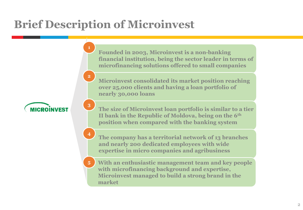# **Brief Description of Microinvest**

**1**

**2**

**3**

**4**



• **Founded in 2003, Microinvest is a non-banking financial institution, being the sector leader in terms of microfinancing solutions offered to small companies**

• **Microinvest consolidated its market position reaching over 25,000 clients and having a loan portfolio of nearly 30,000 loans**

• **The size of Microinvest loan portfolio is similar to a tier II bank in the Republic of Moldova, being on the 6th position when compared with the banking system**

• **The company has a territorial network of 13 branches and nearly 200 dedicated employees with wide expertise in micro companies and agribusiness**

• **With an enthusiastic management team and key people with microfinancing background and expertise, Microinvest managed to build a strong brand in the market 5**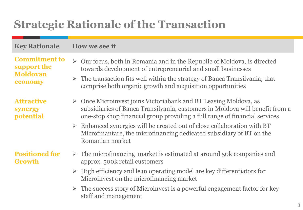# **Strategic Rationale of the Transaction**

#### **Key Rationale How we see it**

**Commitment to support the Moldovan economy**

**Attractive synergy potential**

#### **Positioned for Growth**

- ➢ Our focus, both in Romania and in the Republic of Moldova, is directed towards development of entrepreneurial and small businesses
- $\triangleright$  The transaction fits well within the strategy of Banca Transilvania, that comprise both organic growth and acquisition opportunities
- ➢ Once Microinvest joins Victoriabank and BT Leasing Moldova, as subsidiaries of Banca Transilvania, customers in Moldova will benefit from a one-stop shop financial group providing a full range of financial services
- ➢ Enhanced synergies will be created out of close collaboration with BT Microfinantare, the microfinancing dedicated subsidiary of BT on the Romanian market
- $\triangleright$  The microfinancing market is estimated at around 50k companies and approx. 500k retail customers
- $\triangleright$  High efficiency and lean operating model are key differentiators for Microinvest on the microfinancing market
- ➢ The success story of Microinvest is a powerful engagement factor for key staff and management